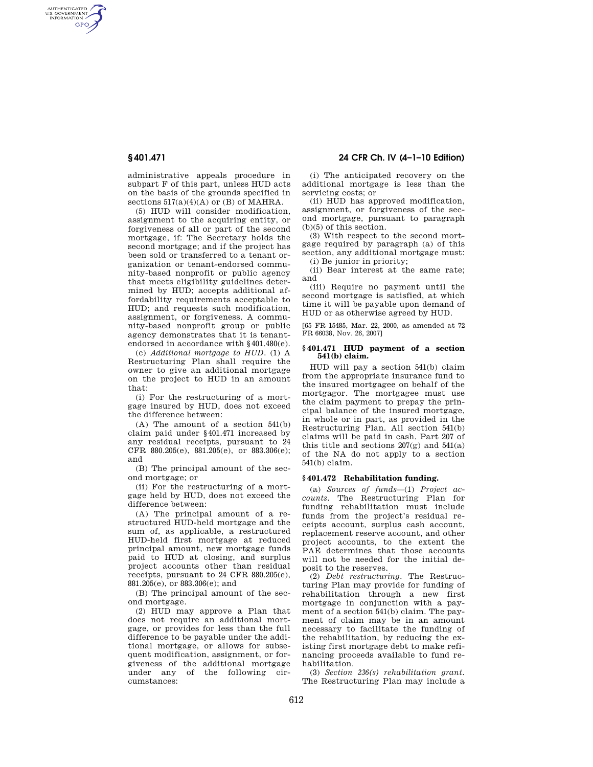AUTHENTICATED<br>U.S. GOVERNMENT<br>INFORMATION **GPO** 

> administrative appeals procedure in subpart F of this part, unless HUD acts on the basis of the grounds specified in sections  $517(a)(4)(A)$  or (B) of MAHRA.

> (5) HUD will consider modification, assignment to the acquiring entity, or forgiveness of all or part of the second mortgage, if: The Secretary holds the second mortgage; and if the project has been sold or transferred to a tenant organization or tenant-endorsed community-based nonprofit or public agency that meets eligibility guidelines determined by HUD; accepts additional affordability requirements acceptable to HUD; and requests such modification, assignment, or forgiveness. A community-based nonprofit group or public agency demonstrates that it is tenantendorsed in accordance with §401.480(e).

> (c) *Additional mortgage to HUD.* (1) A Restructuring Plan shall require the owner to give an additional mortgage on the project to HUD in an amount that:

> (i) For the restructuring of a mortgage insured by HUD, does not exceed the difference between:

> (A) The amount of a section 541(b) claim paid under §401.471 increased by any residual receipts, pursuant to 24 CFR 880.205(e), 881.205(e), or 883.306(e); and

(B) The principal amount of the second mortgage; or

(ii) For the restructuring of a mortgage held by HUD, does not exceed the difference between:

(A) The principal amount of a restructured HUD-held mortgage and the sum of, as applicable, a restructured HUD-held first mortgage at reduced principal amount, new mortgage funds paid to HUD at closing, and surplus project accounts other than residual receipts, pursuant to 24 CFR 880.205(e), 881.205(e), or 883.306(e); and

(B) The principal amount of the second mortgage.

(2) HUD may approve a Plan that does not require an additional mortgage, or provides for less than the full difference to be payable under the additional mortgage, or allows for subsequent modification, assignment, or forgiveness of the additional mortgage under any of the following circumstances:

**§ 401.471 24 CFR Ch. IV (4–1–10 Edition)** 

(i) The anticipated recovery on the additional mortgage is less than the servicing costs; or

(ii) HUD has approved modification, assignment, or forgiveness of the second mortgage, pursuant to paragraph (b)(5) of this section.

(3) With respect to the second mortgage required by paragraph (a) of this section, any additional mortgage must: (i) Be junior in priority;

(ii) Bear interest at the same rate; and

(iii) Require no payment until the second mortgage is satisfied, at which time it will be payable upon demand of HUD or as otherwise agreed by HUD.

[65 FR 15485, Mar. 22, 2000, as amended at 72 FR 66038, Nov. 26, 2007]

#### **§ 401.471 HUD payment of a section 541(b) claim.**

HUD will pay a section 541(b) claim from the appropriate insurance fund to the insured mortgagee on behalf of the mortgagor. The mortgagee must use the claim payment to prepay the principal balance of the insured mortgage, in whole or in part, as provided in the Restructuring Plan. All section 541(b) claims will be paid in cash. Part 207 of this title and sections 207(g) and 541(a) of the NA do not apply to a section 541(b) claim.

## **§ 401.472 Rehabilitation funding.**

(a) *Sources of funds*—(1) *Project accounts.* The Restructuring Plan for funding rehabilitation must include funds from the project's residual receipts account, surplus cash account, replacement reserve account, and other project accounts, to the extent the PAE determines that those accounts will not be needed for the initial deposit to the reserves.

(2) *Debt restructuring.* The Restructuring Plan may provide for funding of rehabilitation through a new first mortgage in conjunction with a payment of a section 541(b) claim. The payment of claim may be in an amount necessary to facilitate the funding of the rehabilitation, by reducing the existing first mortgage debt to make refinancing proceeds available to fund rehabilitation.

(3) *Section 236(s) rehabilitation grant.*  The Restructuring Plan may include a